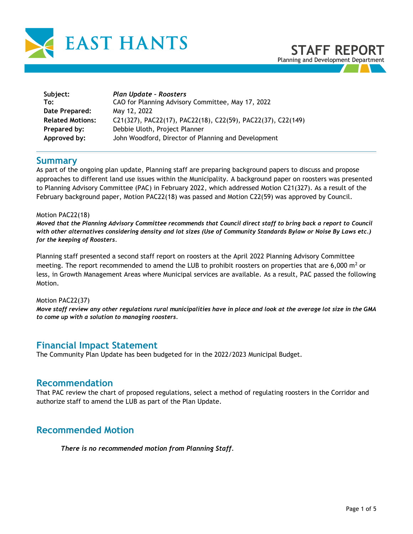

| Subject:<br>To:         | Plan Update - Roosters<br>CAO for Planning Advisory Committee, May 17, 2022 |
|-------------------------|-----------------------------------------------------------------------------|
| Date Prepared:          | May 12, 2022                                                                |
| <b>Related Motions:</b> | C21(327), PAC22(17), PAC22(18), C22(59), PAC22(37), C22(149)                |
| Prepared by:            | Debbie Uloth, Project Planner                                               |
| Approved by:            | John Woodford, Director of Planning and Development                         |

# **Summary**

As part of the ongoing plan update, Planning staff are preparing background papers to discuss and propose approaches to different land use issues within the Municipality. A background paper on roosters was presented to Planning Advisory Committee (PAC) in February 2022, which addressed Motion C21(327). As a result of the February background paper, Motion PAC22(18) was passed and Motion C22(59) was approved by Council.

#### Motion PAC22(18)

*Moved that the Planning Advisory Committee recommends that Council direct staff to bring back a report to Council with other alternatives considering density and lot sizes (Use of Community Standards Bylaw or Noise By Laws etc.) for the keeping of Roosters.*

Planning staff presented a second staff report on roosters at the April 2022 Planning Advisory Committee meeting. The report recommended to amend the LUB to prohibit roosters on properties that are 6,000  $m<sup>2</sup>$  or less, in Growth Management Areas where Municipal services are available. As a result, PAC passed the following Motion.

#### Motion PAC22(37)

*Move staff review any other regulations rural municipalities have in place and look at the average lot size in the GMA to come up with a solution to managing roosters.*

## **Financial Impact Statement**

The Community Plan Update has been budgeted for in the 2022/2023 Municipal Budget.

## **Recommendation**

That PAC review the chart of proposed regulations, select a method of regulating roosters in the Corridor and authorize staff to amend the LUB as part of the Plan Update.

# **Recommended Motion**

*There is no recommended motion from Planning Staff.*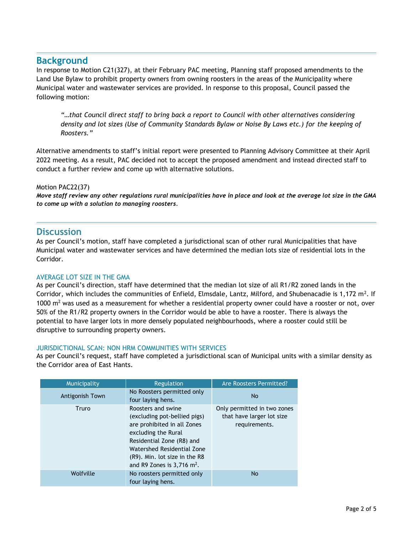# **Background**

In response to Motion C21(327), at their February PAC meeting, Planning staff proposed amendments to the Land Use Bylaw to prohibit property owners from owning roosters in the areas of the Municipality where Municipal water and wastewater services are provided. In response to this proposal, Council passed the following motion:

*"…that Council direct staff to bring back a report to Council with other alternatives considering density and lot sizes (Use of Community Standards Bylaw or Noise By Laws etc.) for the keeping of Roosters."*

Alternative amendments to staff's initial report were presented to Planning Advisory Committee at their April 2022 meeting. As a result, PAC decided not to accept the proposed amendment and instead directed staff to conduct a further review and come up with alternative solutions.

### Motion PAC22(37)

*Move staff review any other regulations rural municipalities have in place and look at the average lot size in the GMA to come up with a solution to managing roosters.*

## **Discussion**

As per Council's motion, staff have completed a jurisdictional scan of other rural Municipalities that have Municipal water and wastewater services and have determined the median lots size of residential lots in the Corridor.

### AVERAGE LOT SIZE IN THE GMA

As per Council's direction, staff have determined that the median lot size of all R1/R2 zoned lands in the Corridor, which includes the communities of Enfield, Elmsdale, Lantz, Milford, and Shubenacadie is 1,172 m<sup>2</sup>. If 1000  $\text{m}^2$  was used as a measurement for whether a residential property owner could have a rooster or not, over 50% of the R1/R2 property owners in the Corridor would be able to have a rooster. There is always the potential to have larger lots in more densely populated neighbourhoods, where a rooster could still be disruptive to surrounding property owners.

### JURISDICTIONAL SCAN: NON HRM COMMUNITIES WITH SERVICES

As per Council's request, staff have completed a jurisdictional scan of Municipal units with a similar density as the Corridor area of East Hants.

| Municipality    | Regulation                                                                                                                                                                                                                                       | Are Roosters Permitted?                                                   |
|-----------------|--------------------------------------------------------------------------------------------------------------------------------------------------------------------------------------------------------------------------------------------------|---------------------------------------------------------------------------|
| Antigonish Town | No Roosters permitted only<br>four laying hens.                                                                                                                                                                                                  | <b>No</b>                                                                 |
| Truro           | Roosters and swine<br>(excluding pot-bellied pigs)<br>are prohibited in all Zones<br>excluding the Rural<br>Residential Zone (R8) and<br>Watershed Residential Zone<br>(R9). Min. lot size in the R8<br>and R9 Zones is $3,716$ m <sup>2</sup> . | Only permitted in two zones<br>that have larger lot size<br>requirements. |
| Wolfville       | No roosters permitted only<br>four laying hens.                                                                                                                                                                                                  | <b>No</b>                                                                 |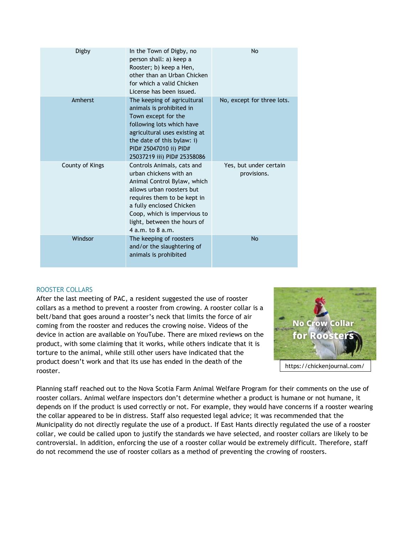| Digby           | In the Town of Digby, no<br>person shall: a) keep a<br>Rooster; b) keep a Hen,<br>other than an Urban Chicken<br>for which a valid Chicken<br>License has been issued.                                                                                         | No                                    |
|-----------------|----------------------------------------------------------------------------------------------------------------------------------------------------------------------------------------------------------------------------------------------------------------|---------------------------------------|
| Amherst         | The keeping of agricultural<br>animals is prohibited in<br>Town except for the<br>following lots which have<br>agricultural uses existing at<br>the date of this bylaw: i)<br>PID# 25047010 ii) PID#<br>25037219 iii) PID# 25358086                            | No, except for three lots.            |
| County of Kings | Controls Animals, cats and<br>urban chickens with an<br>Animal Control Bylaw, which<br>allows urban roosters but<br>requires them to be kept in<br>a fully enclosed Chicken<br>Coop, which is impervious to<br>light, between the hours of<br>4 a.m. to 8 a.m. | Yes, but under certain<br>provisions. |
| Windsor         | The keeping of roosters<br>and/or the slaughtering of<br>animals is prohibited                                                                                                                                                                                 | No                                    |

### ROOSTER COLLARS

After the last meeting of PAC, a resident suggested the use of rooster collars as a method to prevent a rooster from crowing. A rooster collar is a belt/band that goes around a rooster's neck that limits the force of air coming from the rooster and reduces the crowing noise. Videos of the device in action are available on YouTube. There are mixed reviews on the product, with some claiming that it works, while others indicate that it is torture to the animal, while still other users have indicated that the product doesn't work and that its use has ended in the death of the rooster.



Planning staff reached out to the Nova Scotia Farm Animal Welfare Program for their comments on the use of rooster collars. Animal welfare inspectors don't determine whether a product is humane or not humane, it depends on if the product is used correctly or not. For example, they would have concerns if a rooster wearing the collar appeared to be in distress. Staff also requested legal advice; it was recommended that the Municipality do not directly regulate the use of a product. If East Hants directly regulated the use of a rooster collar, we could be called upon to justify the standards we have selected, and rooster collars are likely to be controversial. In addition, enforcing the use of a rooster collar would be extremely difficult. Therefore, staff do not recommend the use of rooster collars as a method of preventing the crowing of roosters.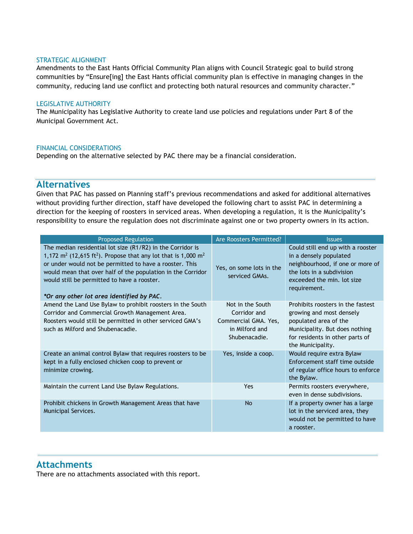#### STRATEGIC ALIGNMENT

Amendments to the East Hants Official Community Plan aligns with Council Strategic goal to build strong communities by "Ensure[ing] the East Hants official community plan is effective in managing changes in the community, reducing land use conflict and protecting both natural resources and community character."

#### LEGISLATIVE AUTHORITY

The Municipality has Legislative Authority to create land use policies and regulations under Part 8 of the Municipal Government Act.

#### FINANCIAL CONSIDERATIONS

Depending on the alternative selected by PAC there may be a financial consideration.

## **Alternatives**

Given that PAC has passed on Planning staff's previous recommendations and asked for additional alternatives without providing further direction, staff have developed the following chart to assist PAC in determining a direction for the keeping of roosters in serviced areas. When developing a regulation, it is the Municipality's responsibility to ensure the regulation does not discriminate against one or two property owners in its action.

| <b>Proposed Regulation</b>                                                                                                                                                                                                                                                                                                                                                            | Are Roosters Permitted?                                                                     | <b>Issues</b>                                                                                                                                                                    |
|---------------------------------------------------------------------------------------------------------------------------------------------------------------------------------------------------------------------------------------------------------------------------------------------------------------------------------------------------------------------------------------|---------------------------------------------------------------------------------------------|----------------------------------------------------------------------------------------------------------------------------------------------------------------------------------|
| The median residential lot size (R1/R2) in the Corridor is<br>1,172 m <sup>2</sup> (12,615 ft <sup>2</sup> ). Propose that any lot that is 1,000 m <sup>2</sup><br>or under would not be permitted to have a rooster. This<br>would mean that over half of the population in the Corridor<br>would still be permitted to have a rooster.<br>*Or any other lot area identified by PAC. | Yes, on some lots in the<br>serviced GMAs.                                                  | Could still end up with a rooster<br>in a densely populated<br>neighbourhood, if one or more of<br>the lots in a subdivision<br>exceeded the min. lot size<br>requirement.       |
| Amend the Land Use Bylaw to prohibit roosters in the South<br>Corridor and Commercial Growth Management Area.<br>Roosters would still be permitted in other serviced GMA's<br>such as Milford and Shubenacadie.                                                                                                                                                                       | Not in the South<br>Corridor and<br>Commercial GMA. Yes,<br>in Milford and<br>Shubenacadie. | Prohibits roosters in the fastest<br>growing and most densely<br>populated area of the<br>Municipality. But does nothing<br>for residents in other parts of<br>the Municipality. |
| Create an animal control Bylaw that requires roosters to be<br>kept in a fully enclosed chicken coop to prevent or<br>minimize crowing.                                                                                                                                                                                                                                               | Yes, inside a coop.                                                                         | Would require extra Bylaw<br>Enforcement staff time outside<br>of regular office hours to enforce<br>the Bylaw.                                                                  |
| Maintain the current Land Use Bylaw Regulations.                                                                                                                                                                                                                                                                                                                                      | Yes                                                                                         | Permits roosters everywhere,<br>even in dense subdivisions.                                                                                                                      |
| Prohibit chickens in Growth Management Areas that have<br>Municipal Services.                                                                                                                                                                                                                                                                                                         | <b>No</b>                                                                                   | If a property owner has a large<br>lot in the serviced area, they<br>would not be permitted to have<br>a rooster.                                                                |

## **Attachments**

There are no attachments associated with this report.